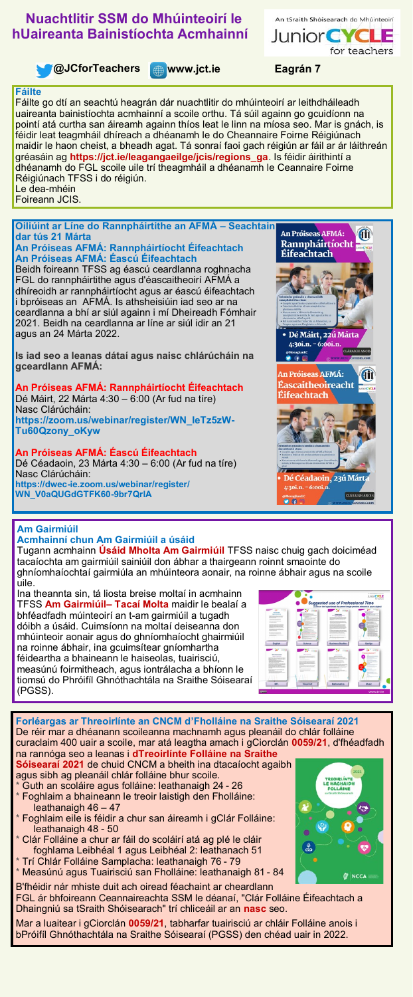## **Nuachtlitir SSM do Mhúinteoirí le hUaireanta Bainistíochta Acmhainní**



**Mauricipal Contract Associates Contract Contract Associates Contract Associates Contract Contract Contract Contract Contract Contract Contract Contract Contract Contract Contract Contract Contract Contract Contract Contra** 

An tSraith Shóisearach do Mhúinteoirí

for teachers

**JuniorCYCL** 

## **Fáilte**

Fáilte go dtí an seachtú heagrán dár nuachtlitir do mhúinteoirí ar leithdháileadh uaireanta bainistíochta acmhainní a scoile orthu. Tá súil againn go gcuidíonn na pointí atá curtha san áireamh againn thíos leat le linn na míosa seo. Mar is gnách, is féidir leat teagmháil dhíreach a dhéanamh le do Cheannaire Foirne Réigiúnach maidir le haon cheist, a bheadh agat. Tá sonraí faoi gach réigiún ar fáil ar ár láithreán gréasáin ag **[https://jct.ie/leagangaeilge/jcis/regions\\_ga](https://jct.ie/leagangaeilge/jcis/regions_ga)**. Is féidir áirithintí a dhéanamh do FGL scoile uile trí theagmháil a dhéanamh le Ceannaire Foirne Réigiúnach TFSS i do réigiún. Le dea-mhéin Foireann JCIS.

**Oiliúint ar Líne do Rannpháirtithe an AFMÁ – Seachtain dar tús 21 Márta An Próiseas AFMÁ: Rannpháirtíocht Éifeachtach**

**An Próiseas AFMÁ: Éascú Éifeachtach** Beidh foireann TFSS ag éascú ceardlanna roghnacha FGL do rannpháirtithe agus d'éascaitheoirí AFMÁ a dhíreoidh ar rannpháirtíocht agus ar éascú éifeachtach i bpróiseas an AFMÁ. Is athsheisiúin iad seo ar na ceardlanna a bhí ar siúl againn i mí Dheireadh Fómhair 2021. Beidh na ceardlanna ar líne ar siúl idir an 21 agus an 24 Márta 2022.

**Is iad seo a leanas dátaí agus naisc chlárúcháin na gceardlann AFMÁ:**

**An Próiseas AFMÁ: Rannpháirtíocht Éifeachtach** Dé Máirt, 22 Márta 4:30 – 6:00 (Ar fud na tíre) Nasc Clárúcháin: **[https://zoom.us/webinar/register/WN\\_IeTz5zW](https://zoom.us/webinar/register/WN_IeTz5zW-Tu60Qzony_oKyw)-[Tu60Qzony\\_oKyw](https://zoom.us/webinar/register/WN_IeTz5zW-Tu60Qzony_oKyw)**

**An Próiseas AFMÁ: Éascú Éifeachtach**

Dé Céadaoin, 23 Márta 4:30 – 6:00 (Ar fud na tíre) Nasc Clárúcháin: **https://dwec-[ie.zoom.us/webinar/register/](https://dwec-ie.zoom.us/webinar/register/WN_V0aQUGdGTFK60-9br7QrlA) [WN\\_V0aQUGdGTFK60](https://dwec-ie.zoom.us/webinar/register/WN_V0aQUGdGTFK60-9br7QrlA)-9br7QrlA**



## **Am Gairmiúil**

**Acmhainní chun Am Gairmiúil a úsáid** Tugann acmhainn **[Úsáid Mholta Am Gairmiúil](https://drive.google.com/file/d/1akfKcyFchFmbvYnsTpnY0BGgMxSBzckS/view)** TFSS naisc chuig gach doiciméad tacaíochta am gairmiúil sainiúil don ábhar a thairgeann roinnt smaointe do ghníomhaíochtaí gairmiúla an mhúinteora aonair, na roinne ábhair agus na scoile

uile. Ina theannta sin, tá liosta breise moltaí in acmhainn TFSS **[Am Gairmiúil–](https://drive.google.com/file/d/1y5QFY2MSz0q4DLdDvA-3R9n7i-pb2tQh/view) Tacaí Molta** maidir le bealaí a bhféadfadh múinteoirí an t-am gairmiúil a tugadh dóibh a úsáid. Cuimsíonn na moltaí deiseanna don mhúinteoir aonair agus do ghníomhaíocht ghairmiúil na roinne ábhair, ina gcuimsítear gníomhartha féideartha a bhaineann le haiseolas, tuairisciú, measúnú foirmitheach, agus iontrálacha a bhíonn le tiomsú do Phróifíl Ghnóthachtála na Sraithe Sóisearaí (PGSS).



**Forléargas ar Threoirlínte an CNCM d'Fholláine na Sraithe Sóisearaí 2021** De réir mar a dhéanann scoileanna machnamh agus pleanáil do chlár folláine curaclaim 400 uair a scoile, mar atá leagtha amach i gCiorclán **[0059/21](https://www.gov.ie/ga/ciorclan/ce334-socruithe-le-haghaidh-chur-chun-feidhme-an-chreata-don-tsraith-shoisearach-le-tagairt-ar-leith-don-scoilbhliain-202122/)**, d'fhéadfadh na rannóga seo a leanas i **[dTreoirlínte Folláine na Sraithe](https://ncca.ie/media/5009/updated-guidelines-2021_ga.pdf)** 

**[Sóisearaí 2021](https://ncca.ie/media/5009/updated-guidelines-2021_ga.pdf)** de chuid CNCM a bheith ina dtacaíocht agaibh agus sibh ag pleanáil chlár folláine bhur scoile. Guth an scoláire agus folláine: leathanaigh 24 - 26

- Foghlaim a bhaineann le treoir laistigh den Fholláine: leathanaigh 46 – 47
- Foghlaim eile is féidir a chur san áireamh i gClár Folláine: leathanaigh 48 - 50
- Clár Folláine a chur ar fáil do scoláirí atá ag plé le cláir foghlama Leibhéal 1 agus Leibhéal 2: leathanach 51
- Trí Chlár Folláine Samplacha: leathanaigh 76 79 Measúnú agus Tuairisciú san Fholláine: leathanaigh 81 - 84

B'fhéidir nár mhiste duit ach oiread féachaint ar cheardlann FGL ár bhfoireann Ceannaireachta SSM le déanaí, "Clár Folláine Éifeachtach a Dhaingniú sa tSraith Shóisearach" trí chliceáil ar an **[nasc](https://www.jct.ie/leadership/cpd_workshop_embedding_an_effective_junior_cycle_wellbeing_programme)** seo.

Mar a luaitear i gCiorclán **[0059/21](https://www.gov.ie/ga/ciorclan/ce334-socruithe-le-haghaidh-chur-chun-feidhme-an-chreata-don-tsraith-shoisearach-le-tagairt-ar-leith-don-scoilbhliain-202122/)**, tabharfar tuairisciú ar chláir Folláine anois i bPróifíl Ghnóthachtála na Sraithe Sóisearaí (PGSS) den chéad uair in 2022.